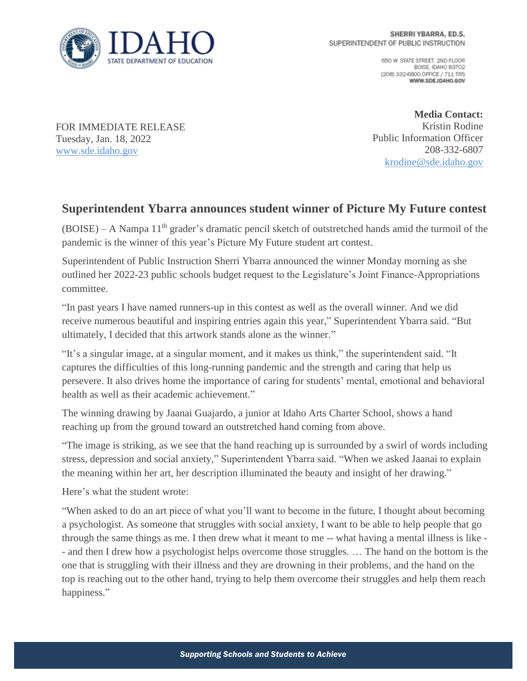

650 W. STATE STREET. 2ND FLOOR BOISE IDAHO 83702 (208) 332-6800 OFFICE / 711 TRS WWW.SDE.IDAHO.GOV

FOR IMMEDIATE RELEASE Tuesday, Jan. 18, 2022 [www.sde.idaho.gov](http://www.sde.idaho.gov/)

**Media Contact:** Kristin Rodine Public Information Officer 208-332-6807 [krodine@sde.idaho.gov](mailto:krodine@sde.idaho.gov)

## **Superintendent Ybarra announces student winner of Picture My Future contest**

(BOISE) – A Nampa 11th grader's dramatic pencil sketch of outstretched hands amid the turmoil of the pandemic is the winner of this year's Picture My Future student art contest.

Superintendent of Public Instruction Sherri Ybarra announced the winner Monday morning as she outlined her 2022-23 public schools budget request to the Legislature's Joint Finance-Appropriations committee.

"In past years I have named runners-up in this contest as well as the overall winner. And we did receive numerous beautiful and inspiring entries again this year," Superintendent Ybarra said. "But ultimately, I decided that this artwork stands alone as the winner."

"It's a singular image, at a singular moment, and it makes us think," the superintendent said. "It captures the difficulties of this long-running pandemic and the strength and caring that help us persevere. It also drives home the importance of caring for students' mental, emotional and behavioral health as well as their academic achievement."

The winning drawing by Jaanai Guajardo, a junior at Idaho Arts Charter School, shows a hand reaching up from the ground toward an outstretched hand coming from above.

"The image is striking, as we see that the hand reaching up is surrounded by a swirl of words including stress, depression and social anxiety," Superintendent Ybarra said. "When we asked Jaanai to explain the meaning within her art, her description illuminated the beauty and insight of her drawing."

Here's what the student wrote:

"When asked to do an art piece of what you'll want to become in the future, I thought about becoming a psychologist. As someone that struggles with social anxiety, I want to be able to help people that go through the same things as me. I then drew what it meant to me -- what having a mental illness is like - - and then I drew how a psychologist helps overcome those struggles. … The hand on the bottom is the one that is struggling with their illness and they are drowning in their problems, and the hand on the top is reaching out to the other hand, trying to help them overcome their struggles and help them reach happiness."